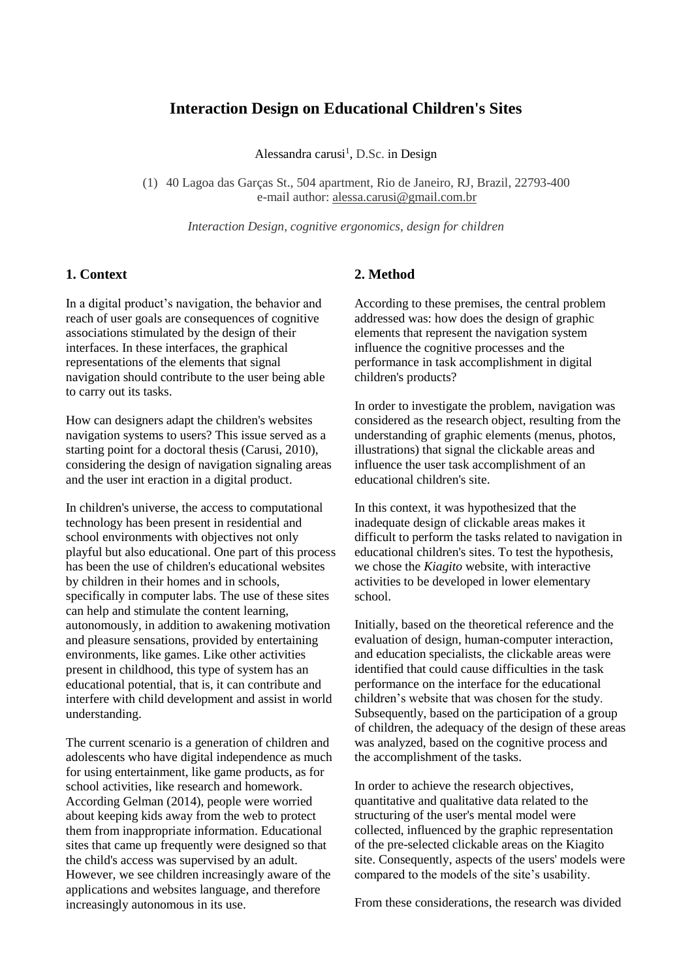# **Interaction Design on Educational Children's Sites**

Alessandra carusi<sup>1</sup>, D.Sc. in Design

(1) 40 Lagoa das Garças St., 504 apartment, Rio de Janeiro, RJ, Brazil, 22793-400 e-mail author: alessa.carusi@gmail.com.br

*Interaction Design, cognitive ergonomics, design for children*

## **1. Context**

In a digital product's navigation, the behavior and reach of user goals are consequences of cognitive associations stimulated by the design of their interfaces. In these interfaces, the graphical representations of the elements that signal navigation should contribute to the user being able to carry out its tasks.

How can designers adapt the children's websites navigation systems to users? This issue served as a starting point for a doctoral thesis (Carusi, 2010), considering the design of navigation signaling areas and the user int eraction in a digital product.

In children's universe, the access to computational technology has been present in residential and school environments with objectives not only playful but also educational. One part of this process has been the use of children's educational websites by children in their homes and in schools, specifically in computer labs. The use of these sites can help and stimulate the content learning, autonomously, in addition to awakening motivation and pleasure sensations, provided by entertaining environments, like games. Like other activities present in childhood, this type of system has an educational potential, that is, it can contribute and interfere with child development and assist in world understanding.

The current scenario is a generation of children and adolescents who have digital independence as much for using entertainment, like game products, as for school activities, like research and homework. According Gelman (2014), people were worried about keeping kids away from the web to protect them from inappropriate information. Educational sites that came up frequently were designed so that the child's access was supervised by an adult. However, we see children increasingly aware of the applications and websites language, and therefore increasingly autonomous in its use.

#### **2. Method**

According to these premises, the central problem addressed was: how does the design of graphic elements that represent the navigation system influence the cognitive processes and the performance in task accomplishment in digital children's products?

In order to investigate the problem, navigation was considered as the research object, resulting from the understanding of graphic elements (menus, photos, illustrations) that signal the clickable areas and influence the user task accomplishment of an educational children's site.

In this context, it was hypothesized that the inadequate design of clickable areas makes it difficult to perform the tasks related to navigation in educational children's sites. To test the hypothesis, we chose the *Kiagito* website, with interactive activities to be developed in lower elementary school.

Initially, based on the theoretical reference and the evaluation of design, human-computer interaction, and education specialists, the clickable areas were identified that could cause difficulties in the task performance on the interface for the educational children's website that was chosen for the study. Subsequently, based on the participation of a group of children, the adequacy of the design of these areas was analyzed, based on the cognitive process and the accomplishment of the tasks.

In order to achieve the research objectives, quantitative and qualitative data related to the structuring of the user's mental model were collected, influenced by the graphic representation of the pre-selected clickable areas on the Kiagito site. Consequently, aspects of the users' models were compared to the models of the site's usability.

From these considerations, the research was divided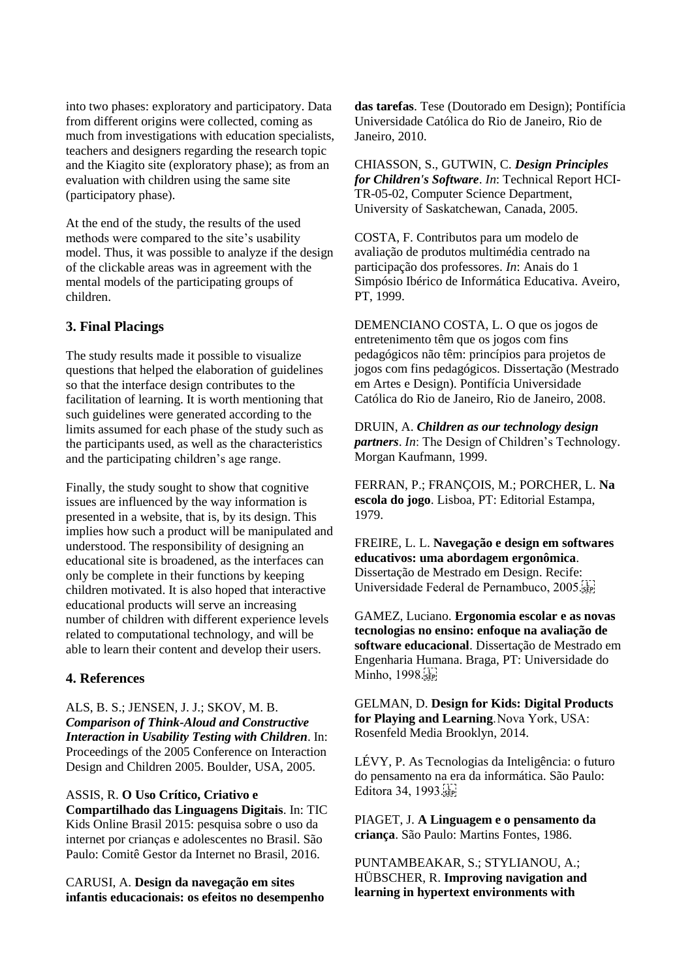into two phases: exploratory and participatory. Data from different origins were collected, coming as much from investigations with education specialists, teachers and designers regarding the research topic and the Kiagito site (exploratory phase); as from an evaluation with children using the same site (participatory phase).

At the end of the study, the results of the used methods were compared to the site's usability model. Thus, it was possible to analyze if the design of the clickable areas was in agreement with the mental models of the participating groups of children.

## **3. Final Placings**

The study results made it possible to visualize questions that helped the elaboration of guidelines so that the interface design contributes to the facilitation of learning. It is worth mentioning that such guidelines were generated according to the limits assumed for each phase of the study such as the participants used, as well as the characteristics and the participating children's age range.

Finally, the study sought to show that cognitive issues are influenced by the way information is presented in a website, that is, by its design. This implies how such a product will be manipulated and understood. The responsibility of designing an educational site is broadened, as the interfaces can only be complete in their functions by keeping children motivated. It is also hoped that interactive educational products will serve an increasing number of children with different experience levels related to computational technology, and will be able to learn their content and develop their users.

### **4. References**

ALS, B. S.; JENSEN, J. J.; SKOV, M. B. *Comparison of Think-Aloud and Constructive Interaction in Usability Testing with Children*. In: Proceedings of the 2005 Conference on Interaction Design and Children 2005. Boulder, USA, 2005.

ASSIS, R. **O Uso Crítico, Criativo e Compartilhado das Linguagens Digitais**. In: TIC Kids Online Brasil 2015: pesquisa sobre o uso da internet por crianças e adolescentes no Brasil. São Paulo: Comitê Gestor da Internet no Brasil, 2016.

CARUSI, A. **Design da navegação em sites infantis educacionais: os efeitos no desempenho** 

**das tarefas**. Tese (Doutorado em Design); Pontifícia Universidade Católica do Rio de Janeiro, Rio de Janeiro, 2010.

CHIASSON, S., GUTWIN, C. *Design Principles for Children's Software*. *In*: Technical Report HCI-TR-05-02, Computer Science Department, University of Saskatchewan, Canada, 2005.

COSTA, F. Contributos para um modelo de avaliação de produtos multimédia centrado na participação dos professores. *In*: Anais do 1 Simpósio Ibérico de Informática Educativa. Aveiro, PT, 1999.

DEMENCIANO COSTA, L. O que os jogos de entretenimento têm que os jogos com fins pedagógicos não têm: princípios para projetos de jogos com fins pedagógicos. Dissertação (Mestrado em Artes e Design). Pontifícia Universidade Católica do Rio de Janeiro, Rio de Janeiro, 2008.

DRUIN, A. *Children as our technology design partners*. *In*: The Design of Children's Technology. Morgan Kaufmann, 1999.

FERRAN, P.; FRANÇOIS, M.; PORCHER, L. **Na escola do jogo**. Lisboa, PT: Editorial Estampa, 1979.

FREIRE, L. L. **Navegação e design em softwares educativos: uma abordagem ergonômica**. Dissertação de Mestrado em Design. Recife: Universidade Federal de Pernambuco, 2005.

GAMEZ, Luciano. **Ergonomia escolar e as novas tecnologias no ensino: enfoque na avaliação de software educacional**. Dissertação de Mestrado em Engenharia Humana. Braga, PT: Universidade do Minho, 1998. SEP

GELMAN, D. **Design for Kids: Digital Products for Playing and Learning**. Nova York, USA: Rosenfeld Media Brooklyn, 2014.

LÉVY, P. As Tecnologias da Inteligência: o futuro do pensamento na era da informática. São Paulo: Editora 34, 1993.

PIAGET, J. **A Linguagem e o pensamento da criança**. São Paulo: Martins Fontes, 1986.

PUNTAMBEAKAR, S.; STYLIANOU, A.; HÜBSCHER, R. **Improving navigation and learning in hypertext environments with**